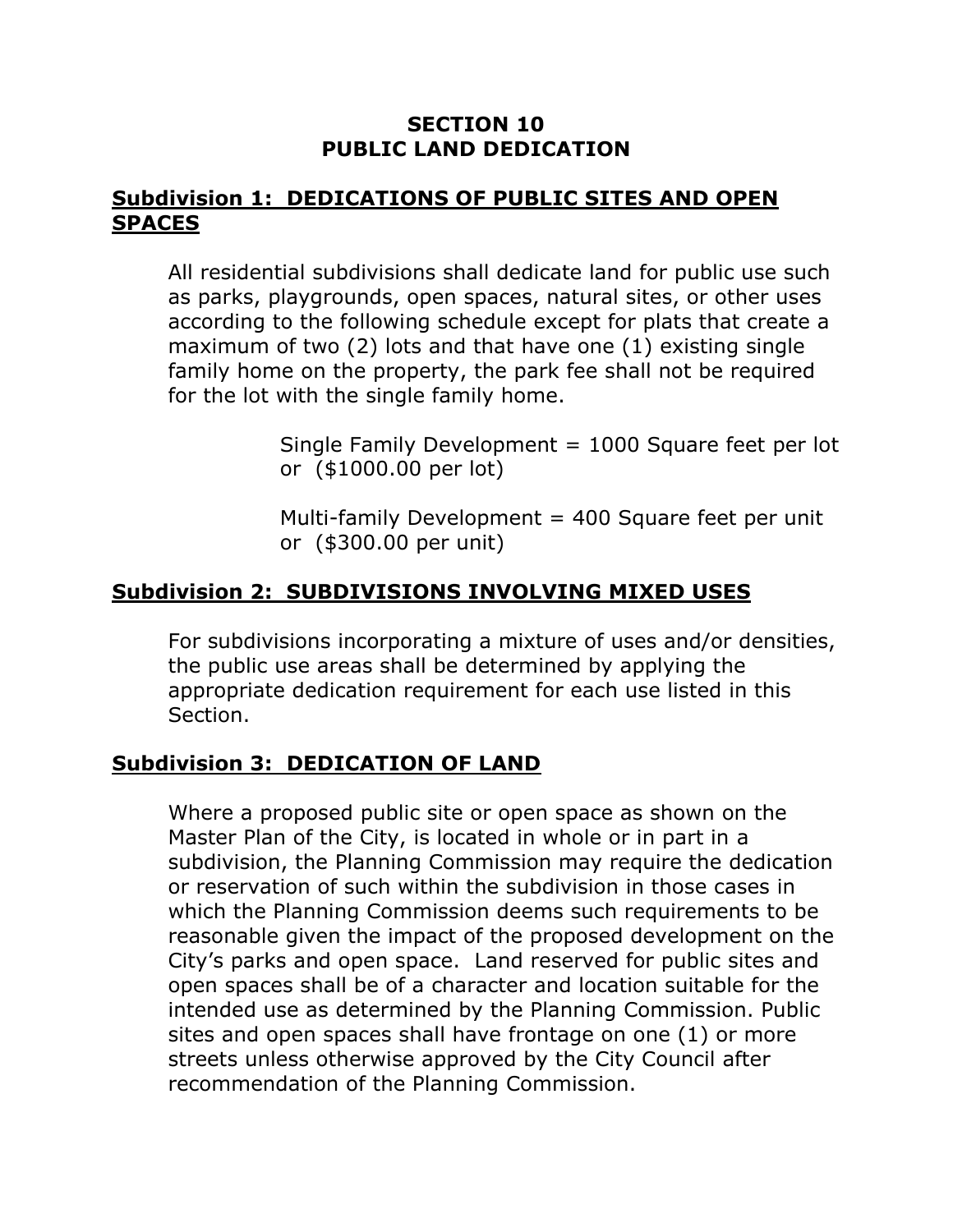#### **SECTION 10 PUBLIC LAND DEDICATION**

#### **Subdivision 1: DEDICATIONS OF PUBLIC SITES AND OPEN SPACES**

All residential subdivisions shall dedicate land for public use such as parks, playgrounds, open spaces, natural sites, or other uses according to the following schedule except for plats that create a maximum of two (2) lots and that have one (1) existing single family home on the property, the park fee shall not be required for the lot with the single family home.

> Single Family Development = 1000 Square feet per lot or (\$1000.00 per lot)

Multi-family Development  $=$  400 Square feet per unit or (\$300.00 per unit)

## **Subdivision 2: SUBDIVISIONS INVOLVING MIXED USES**

For subdivisions incorporating a mixture of uses and/or densities, the public use areas shall be determined by applying the appropriate dedication requirement for each use listed in this Section.

# **Subdivision 3: DEDICATION OF LAND**

Where a proposed public site or open space as shown on the Master Plan of the City, is located in whole or in part in a subdivision, the Planning Commission may require the dedication or reservation of such within the subdivision in those cases in which the Planning Commission deems such requirements to be reasonable given the impact of the proposed development on the City's parks and open space. Land reserved for public sites and open spaces shall be of a character and location suitable for the intended use as determined by the Planning Commission. Public sites and open spaces shall have frontage on one (1) or more streets unless otherwise approved by the City Council after recommendation of the Planning Commission.